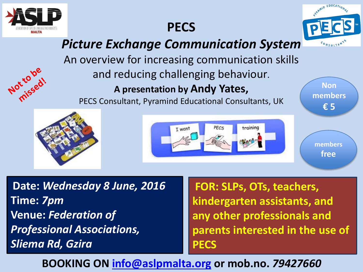

Notro be

## **PECS**



## *Picture Exchange Communication System*

An overview for increasing communication skills and reducing challenging behaviour.

## **A presentation by Andy Yates,**

PECS Consultant, Pyramind Educational Consultants, UK





**Non members € 5**

> **members free**

**Date:** *Wednesday 8 June, 2016* **Time:** *7pm* **Venue:** *Federation of Professional Associations, Sliema Rd, Gzira*

**FOR: SLPs, OTs, teachers, kindergarten assistants, and any other professionals and parents interested in the use of PECS**

**BOOKING ON [info@aslpmalta.org](mailto:info@aslpmalta.org) or mob.no.** *79427660*